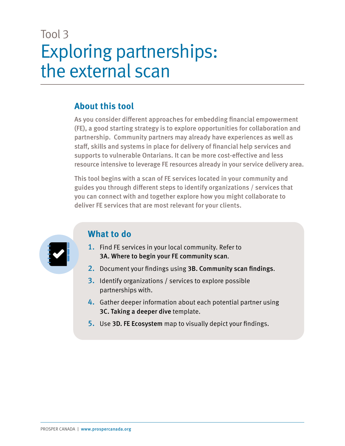### Tool 3 Exploring partnerships: the external scan

### **About this tool**

As you consider different approaches for embedding financial empowerment (FE), a good starting strategy is to explore opportunities for collaboration and partnership. Community partners may already have experiences as well as staff, skills and systems in place for delivery of financial help services and supports to vulnerable Ontarians. It can be more cost-effective and less resource intensive to leverage FE resources already in your service delivery area.

This tool begins with a scan of FE services located in your community and guides you through different steps to identify organizations / services that you can connect with and together explore how you might collaborate to deliver FE services that are most relevant for your clients.



### **What to do**

- 1. Find FE services in your local community. Refer to 3A. Where to begin your FE community scan.
- 2. Document your findings using 3B. Community scan findings.
- 3. Identify organizations / services to explore possible partnerships with.
- 4. Gather deeper information about each potential partner using 3C. Taking a deeper dive template.
- 5. Use 3D. FE Ecosystem map to visually depict your findings.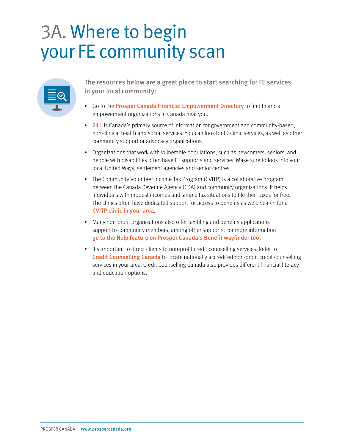## 3A. Where to begin your FE community scan

| ___<br>____<br><b>Q</b><br>and the control of the control of<br>___ |  |
|---------------------------------------------------------------------|--|
|                                                                     |  |

The resources below are a great place to start searching for FE services in your local community:

- Go to the [Prosper Canada Financial Empowerment Directory](https://learninghub.prospercanada.org/directory/) to find financial empowerment organizations in Canada near you.
- [211](https://211.ca/) is Canada's primary source of information for government and community-based, non-clinical health and social services. You can look for ID clinic services, as well as other community support or advocacy organizations.
- Organizations that work with vulnerable populations, such as newcomers, seniors, and people with disabilities often have FE supports and services. Make sure to look into your local United Ways, settlement agencies and senior centres.
- The Community Volunteer Income Tax Program (CVITP) is a collaborative program between the Canada Revenue Agency (CRA) and community organizations. It helps individuals with modest incomes and simple tax situations to file their taxes for free. The clinics often have dedicated support for access to benefits as well. Search for a [CVITP clinic in your area](https://apps.cra-arc.gc.ca/ebci/oecv/external/prot/startClinicSearch.action?request_locale=en_CA).
- Many non-profit organizations also offer tax-filing and benefits applications support to community members, among other supports. For more information [go to the Help feature on Prosper Canada's Benefit wayfinder tool](https://benefitswayfinder.org/help)
- It's important to direct clients to non-profit credit counselling services. Refer to [Credit Counselling Canada](https://creditcounsellingcanada.ca/) to locate nationally accredited non-profit credit counselling services in your area. Credit Counselling Canada also provides different financial literacy and education options.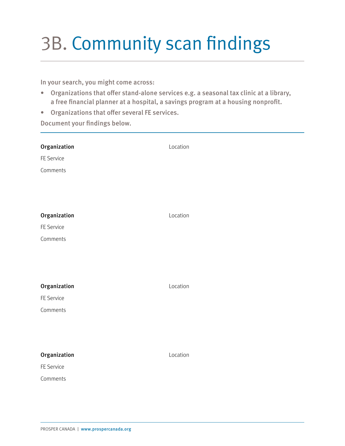# 3B. Community scan findings

In your search, you might come across:

- Organizations that offer stand-alone services e.g. a seasonal tax clinic at a library, a free financial planner at a hospital, a savings program at a housing nonprofit.
- Organizations that offer several FE services.

Document your findings below.

| Organization<br>FE Service<br>Comments | Location |
|----------------------------------------|----------|
| Organization<br>FE Service<br>Comments | Location |
| Organization<br>FE Service<br>Comments | Location |
| Organization<br>FE Service<br>Comments | Location |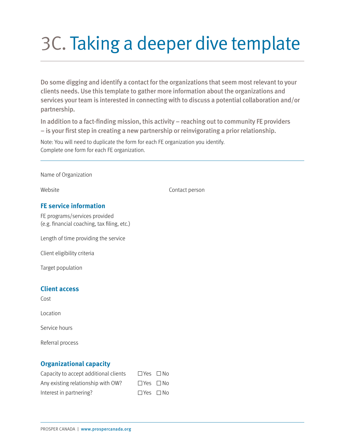# 3C. Taking a deeper dive template

Do some digging and identify a contact for the organizations that seem most relevant to your clients needs. Use this template to gather more information about the organizations and services your team is interested in connecting with to discuss a potential collaboration and/or partnership.

In addition to a fact-finding mission, this activity – reaching out to community FE providers – is your first step in creating a new partnership or reinvigorating a prior relationship.

Note: You will need to duplicate the form for each FE organization you identify. Complete one form for each FE organization.

Name of Organization

Website **Contact person** 

#### **FE service information**

FE programs/services provided (e.g. financial coaching, tax filing, etc.)

Length of time providing the service

Client eligibility criteria

Target population

#### **Client access**

Cost

Location

Service hours

Referral process

#### **Organizational capacity**

| Capacity to accept additional clients | $\Box$ Yes $\Box$ No |  |
|---------------------------------------|----------------------|--|
| Any existing relationship with OW?    | $\Box$ Yes $\Box$ No |  |
| Interest in partnering?               | $\Box$ Yes $\Box$ No |  |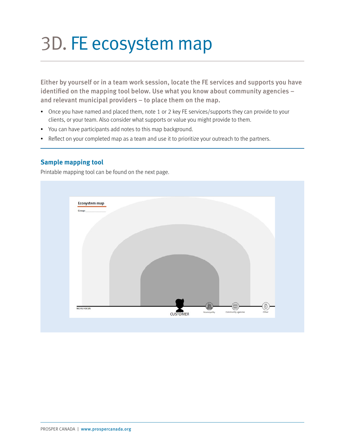## 3D. FE ecosystem map

Either by yourself or in a team work session, locate the FE services and supports you have identified on the mapping tool below. Use what you know about community agencies – and relevant municipal providers – to place them on the map.

- Once you have named and placed them, note 1 or 2 key FE services/supports they can provide to your clients, or your team. Also consider what supports or value you might provide to them.
- You can have participants add notes to this map background.
- Reflect on your completed map as a team and use it to prioritize your outreach to the partners.

#### **Sample mapping tool**

Printable mapping tool can be found on the next page.